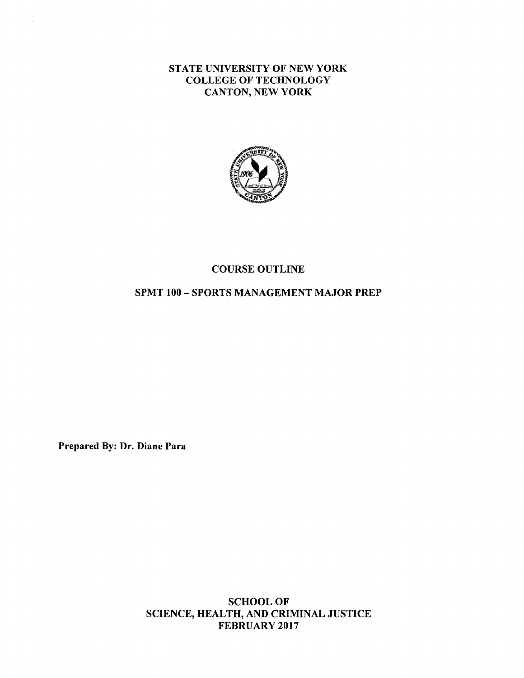STATE UNIVERSITY OF NEW YORK COLLEGE OF TECHNOLOGY CANTON, NEW **YORK** 



#### COURSE OUTLINE

#### SPMT 100 - SPORTS MANAGEMENT MAJOR PREP

Prepared By: Dr. Diane Para

SCHOOL OF SCIENCE, HEALTH, AND CRIMINAL JUSTICE FEBRUARY 2017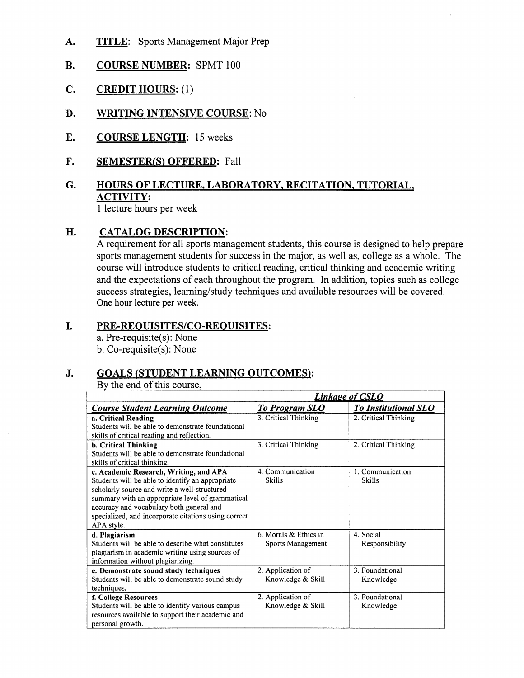- **A. TITLE:** Sports Management Major Prep
- **B. COURSE NUMBER:** SPMT 100
- C. **CREDIT HOURS:** (1)
- **D. WRITING INTENSIVE COURSE:** No
- **E. COURSE LENGTH:** 15 weeks
- **F. SEMESTER(S) OFFERED:** Fall

## **G. HOURS OF LECTURE, LABORATORY, RECITATION, TUTORIAL, ACTIVITY:**

1 lecture hours per week

#### **H. CATALOG DESCRIPTION:**

A requirement for all sports management students, this course is designed to help prepare sports management students for success in the major, as well as, college as a whole. The course will introduce students to critical reading, critical thinking and academic writing and the expectations of each throughout the program. In addition, topics such as college success strategies, learning/study techniques and available resources will be covered. One hour lecture per week.

#### I. **PRE-REQUISITES/CO-REQUISITES:**

a. Pre-requisite(s): None b. Co-requisite(s): None

#### **J. GOALS (STUDENT LEARNING OUTCOMES):**

By the end of this course,

|                                                                                                  | <b>Linkage of CSLO</b> |                             |
|--------------------------------------------------------------------------------------------------|------------------------|-----------------------------|
| <b>Course Student Learning Outcome</b>                                                           | <b>To Program SLO</b>  | <b>To Institutional SLO</b> |
| a. Critical Reading                                                                              | 3. Critical Thinking   | 2. Critical Thinking        |
| Students will be able to demonstrate foundational                                                |                        |                             |
| skills of critical reading and reflection.                                                       |                        |                             |
| b. Critical Thinking                                                                             | 3. Critical Thinking   | 2. Critical Thinking        |
| Students will be able to demonstrate foundational                                                |                        |                             |
| skills of critical thinking.                                                                     |                        |                             |
| c. Academic Research, Writing, and APA                                                           | 4. Communication       | 1. Communication            |
| Students will be able to identify an appropriate                                                 | <b>Skills</b>          | <b>Skills</b>               |
| scholarly source and write a well-structured<br>summary with an appropriate level of grammatical |                        |                             |
| accuracy and vocabulary both general and                                                         |                        |                             |
| specialized, and incorporate citations using correct                                             |                        |                             |
| APA style.                                                                                       |                        |                             |
| d. Plagiarism                                                                                    | 6. Morals & Ethics in  | 4. Social                   |
| Students will be able to describe what constitutes                                               | Sports Management      | Responsibility              |
| plagiarism in academic writing using sources of                                                  |                        |                             |
| information without plagiarizing.                                                                |                        |                             |
| e. Demonstrate sound study techniques                                                            | 2. Application of      | 3. Foundational             |
| Students will be able to demonstrate sound study                                                 | Knowledge & Skill      | Knowledge                   |
| techniques.                                                                                      |                        |                             |
| f. College Resources                                                                             | 2. Application of      | 3. Foundational             |
| Students will be able to identify various campus                                                 | Knowledge & Skill      | Knowledge                   |
| resources available to support their academic and                                                |                        |                             |
| personal growth.                                                                                 |                        |                             |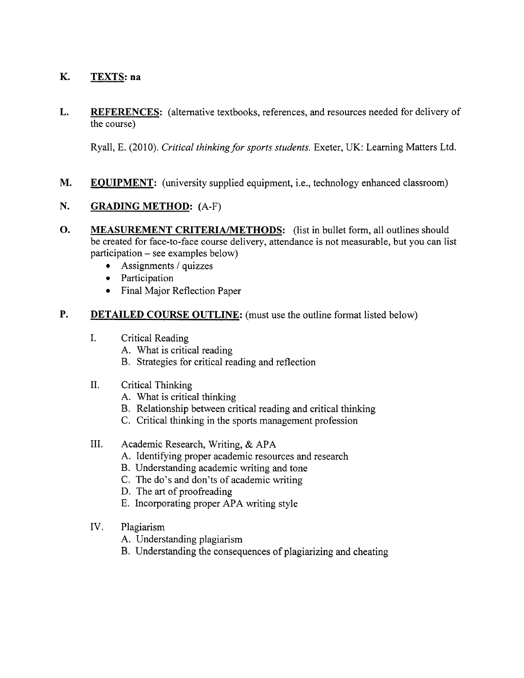#### **K. TEXTS: na**

**L. REFERENCES:** (alternative textbooks, references, and resources needed for delivery of the course)

Ryall, E. (2010). *Critical thinkingfor sports students.* Exeter, UK: Leaming Matters Ltd.

**M. EQUIPMENT:** (university supplied equipment, i.e., technology enhanced classroom)

#### **N. GRADING METHOD:** (A-F)

- **0. MEASUREMENT CRITERIA/METHODS:** (list in bullet form, all outlines should be created for face-to-face course delivery, attendance is not measurable, but you can list participation - see examples below)
	- $\bullet$  Assignments / quizzes
	- Participation
	- Final Major Reflection Paper

#### **P. DETAILED COURSE OUTLINE:** (must use the outline format listed below)

- I. Critical Reading
	- A. What is critical reading
	- B. Strategies for critical reading and reflection
- II. Critical Thinking
	- A. What is critical thinking
	- B. Relationship between critical reading and critical thinking
	- C. Critical thinking in the sports management profession

#### III. Academic Research, Writing, & APA

- A. Identifying proper academic resources and research
- B. Understanding academic writing and tone
- C. The do's and don'ts of academic writing
- D. The art of proofreading
- E. Incorporating proper APA writing style
- IV. Plagiarism
	- A. Understanding plagiarism
	- B. Understanding the consequences of plagiarizing and cheating